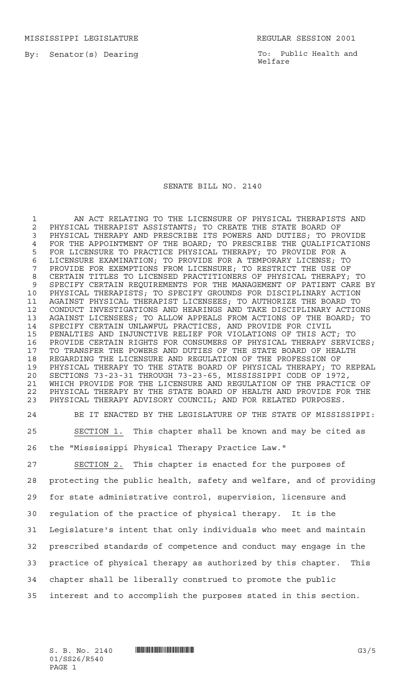MISSISSIPPI LEGISLATURE REGULAR SESSION 2001

By: Senator(s) Dearing

To: Public Health and Welfare

## SENATE BILL NO. 2140

 AN ACT RELATING TO THE LICENSURE OF PHYSICAL THERAPISTS AND PHYSICAL THERAPIST ASSISTANTS; TO CREATE THE STATE BOARD OF PHYSICAL THERAPY AND PRESCRIBE ITS POWERS AND DUTIES; TO PROVIDE FOR THE APPOINTMENT OF THE BOARD; TO PRESCRIBE THE QUALIFICATIONS FOR LICENSURE TO PRACTICE PHYSICAL THERAPY; TO PROVIDE FOR A LICENSURE EXAMINATION; TO PROVIDE FOR A TEMPORARY LICENSE; TO PROVIDE FOR EXEMPTIONS FROM LICENSURE; TO RESTRICT THE USE OF CERTAIN TITLES TO LICENSED PRACTITIONERS OF PHYSICAL THERAPY; TO SPECIFY CERTAIN REQUIREMENTS FOR THE MANAGEMENT OF PATIENT CARE BY PHYSICAL THERAPISTS; TO SPECIFY GROUNDS FOR DISCIPLINARY ACTION AGAINST PHYSICAL THERAPIST LICENSEES; TO AUTHORIZE THE BOARD TO CONDUCT INVESTIGATIONS AND HEARINGS AND TAKE DISCIPLINARY ACTIONS AGAINST LICENSEES; TO ALLOW APPEALS FROM ACTIONS OF THE BOARD; TO SPECIFY CERTAIN UNLAWFUL PRACTICES, AND PROVIDE FOR CIVIL PENALTIES AND INJUNCTIVE RELIEF FOR VIOLATIONS OF THIS ACT; TO PROVIDE CERTAIN RIGHTS FOR CONSUMERS OF PHYSICAL THERAPY SERVICES; TO TRANSFER THE POWERS AND DUTIES OF THE STATE BOARD OF HEALTH REGARDING THE LICENSURE AND REGULATION OF THE PROFESSION OF PHYSICAL THERAPY TO THE STATE BOARD OF PHYSICAL THERAPY; TO REPEAL SECTIONS 73-23-31 THROUGH 73-23-65, MISSISSIPPI CODE OF 1972, WHICH PROVIDE FOR THE LICENSURE AND REGULATION OF THE PRACTICE OF PHYSICAL THERAPY BY THE STATE BOARD OF HEALTH AND PROVIDE FOR THE PHYSICAL THERAPY ADVISORY COUNCIL; AND FOR RELATED PURPOSES.

 BE IT ENACTED BY THE LEGISLATURE OF THE STATE OF MISSISSIPPI: SECTION 1. This chapter shall be known and may be cited as the "Mississippi Physical Therapy Practice Law."

 SECTION 2. This chapter is enacted for the purposes of protecting the public health, safety and welfare, and of providing for state administrative control, supervision, licensure and regulation of the practice of physical therapy. It is the Legislature's intent that only individuals who meet and maintain prescribed standards of competence and conduct may engage in the practice of physical therapy as authorized by this chapter. This chapter shall be liberally construed to promote the public interest and to accomplish the purposes stated in this section.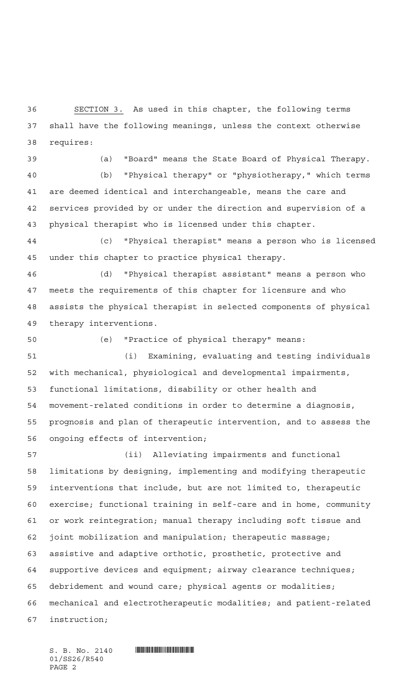SECTION 3. As used in this chapter, the following terms shall have the following meanings, unless the context otherwise requires:

(a) "Board" means the State Board of Physical Therapy.

 (b) "Physical therapy" or "physiotherapy," which terms are deemed identical and interchangeable, means the care and services provided by or under the direction and supervision of a physical therapist who is licensed under this chapter.

 (c) "Physical therapist" means a person who is licensed under this chapter to practice physica1 therapy.

 (d) "Physical therapist assistant" means a person who meets the requirements of this chapter for licensure and who assists the physical therapist in selected components of physical therapy interventions.

(e) "Practice of physical therapy" means:

 (i) Examining, evaluating and testing individuals with mechanical, physiological and developmental impairments, functional limitations, disability or other health and movement-related conditions in order to determine a diagnosis, prognosis and plan of therapeutic intervention, and to assess the ongoing effects of intervention;

 (ii) Alleviating impairments and functional limitations by designing, implementing and modifying therapeutic interventions that include, but are not limited to, therapeutic exercise; functional training in self-care and in home, community or work reintegration; manual therapy including soft tissue and joint mobilization and manipulation; therapeutic massage; assistive and adaptive orthotic, prosthetic, protective and supportive devices and equipment; airway clearance techniques; debridement and wound care; physical agents or modalities; mechanical and electrotherapeutic modalities; and patient-related instruction;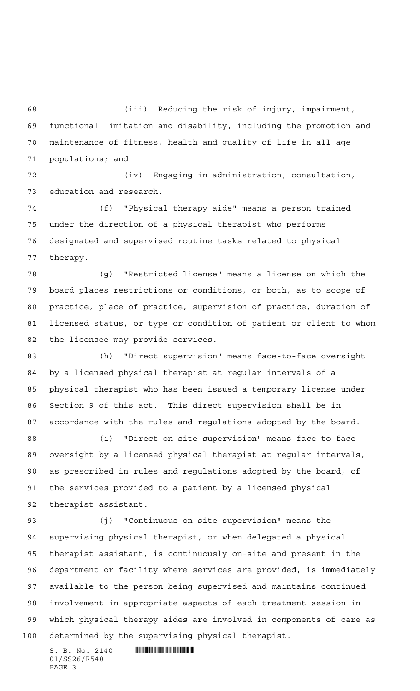(iii) Reducing the risk of injury, impairment, functional limitation and disability, including the promotion and maintenance of fitness, health and quality of life in all age populations; and

 (iv) Engaging in administration, consultation, education and research.

 (f) "Physical therapy aide" means a person trained under the direction of a physical therapist who performs designated and supervised routine tasks related to physical therapy.

 (g) "Restricted license" means a license on which the board places restrictions or conditions, or both, as to scope of practice, place of practice, supervision of practice, duration of licensed status, or type or condition of patient or client to whom the licensee may provide services.

 (h) "Direct supervision" means face-to-face oversight by a licensed physical therapist at regular intervals of a physical therapist who has been issued a temporary license under Section 9 of this act. This direct supervision shall be in accordance with the rules and regulations adopted by the board.

 (i) "Direct on-site supervision" means face-to-face oversight by a licensed physical therapist at regular intervals, as prescribed in rules and regulations adopted by the board, of the services provided to a patient by a licensed physical therapist assistant.

 (j) "Continuous on-site supervision" means the supervising physical therapist, or when delegated a physical therapist assistant, is continuously on-site and present in the department or facility where services are provided, is immediately available to the person being supervised and maintains continued involvement in appropriate aspects of each treatment session in which physical therapy aides are involved in components of care as determined by the supervising physical therapist.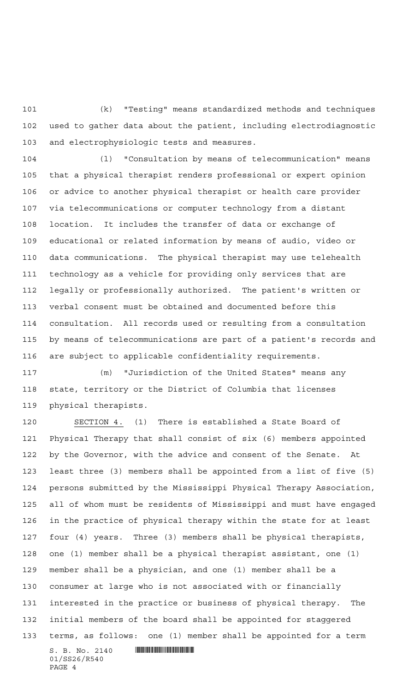(k) "Testing" means standardized methods and techniques used to gather data about the patient, including electrodiagnostic and electrophysiologic tests and measures.

 (l) "Consultation by means of telecommunication" means that a physical therapist renders professional or expert opinion or advice to another physical therapist or health care provider via telecommunications or computer technology from a distant location. It includes the transfer of data or exchange of educational or related information by means of audio, video or data communications. The physical therapist may use telehealth technology as a vehicle for providing only services that are legally or professionally authorized. The patient's written or verbal consent must be obtained and documented before this consultation. All records used or resulting from a consultation by means of telecommunications are part of a patient's records and are subject to applicable confidentiality requirements.

 (m) "Jurisdiction of the United States" means any state, territory or the District of Columbia that licenses physical therapists.

 SECTION 4. (1) There is established a State Board of Physica1 Therapy that shall consist of six (6) members appointed by the Governor, with the advice and consent of the Senate. At least three (3) members shall be appointed from a list of five (5) persons submitted by the Mississippi Physical Therapy Association, all of whom must be residents of Mississippi and must have engaged in the practice of physical therapy within the state for at least four (4) years. Three (3) members shall be physica1 therapists, one (1) member shall be a physical therapist assistant, one (1) member shall be a physician, and one (1) member shall be a consumer at large who is not associated with or financially interested in the practice or business of physical therapy. The initial members of the board shall be appointed for staggered terms, as follows: one (1) member shall be appointed for a term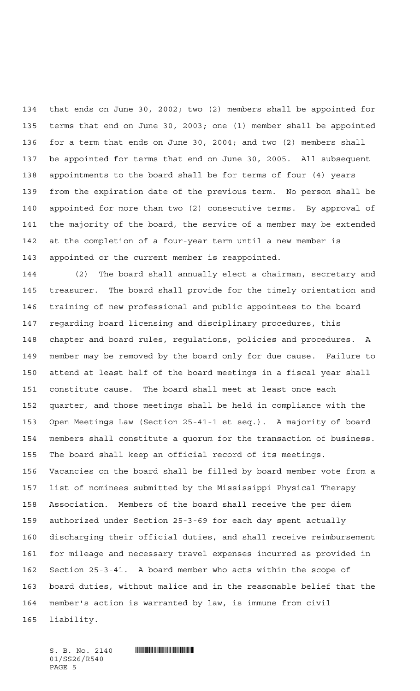that ends on June 30, 2002; two (2) members shall be appointed for terms that end on June 30, 2003; one (1) member shall be appointed for a term that ends on June 30, 2004; and two (2) members shall be appointed for terms that end on June 30, 2005. All subsequent appointments to the board shall be for terms of four (4) years from the expiration date of the previous term. No person shall be appointed for more than two (2) consecutive terms. By approval of the majority of the board, the service of a member may be extended at the completion of a four-year term until a new member is appointed or the current member is reappointed.

 (2) The board shall annually elect a chairman, secretary and treasurer. The board shall provide for the timely orientation and training of new professional and public appointees to the board regarding board licensing and disciplinary procedures, this chapter and board rules, regulations, policies and procedures. A member may be removed by the board only for due cause. Failure to attend at least half of the board meetings in a fiscal year shall constitute cause. The board shall meet at least once each quarter, and those meetings shall be held in compliance with the Open Meetings Law (Section 25-41-1 et seq.). A majority of board members shall constitute a quorum for the transaction of business. The board shall keep an official record of its meetings. Vacancies on the board shall be filled by board member vote from a list of nominees submitted by the Mississippi Physical Therapy Association. Members of the board shall receive the per diem authorized under Section 25-3-69 for each day spent actually discharging their official duties, and shall receive reimbursement for mileage and necessary travel expenses incurred as provided in Section 25-3-41. A board member who acts within the scope of board duties, without malice and in the reasonable belief that the member's action is warranted by law, is immune from civil liability.

 $S. B. No. 2140$  . SIMMON THE SET OF A SECTION OF A SECTION OF A SECTION OF A SECTION OF A SECTION OF A SECTION OF A SECTION OF A SECTION OF A SECTION OF A SECTION OF A SECTION OF A SECTION OF A SECTION OF A SECTION OF A SEC 01/SS26/R540 PAGE 5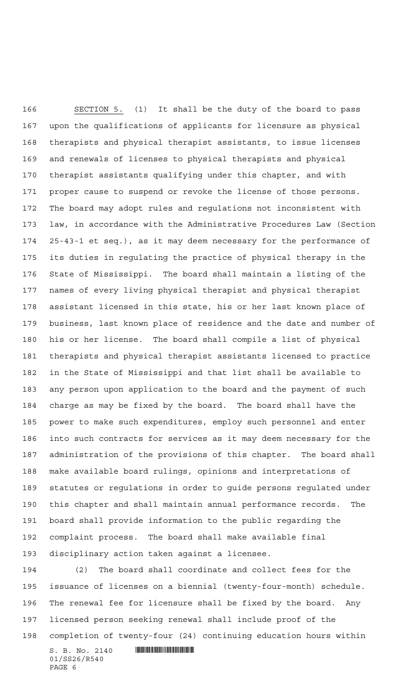SECTION 5. (1) It shall be the duty of the board to pass upon the qualifications of applicants for licensure as physical therapists and physical therapist assistants, to issue licenses and renewals of licenses to physical therapists and physical therapist assistants qualifying under this chapter, and with proper cause to suspend or revoke the license of those persons. The board may adopt rules and regulations not inconsistent with law, in accordance with the Administrative Procedures Law (Section 25-43-1 et seq.), as it may deem necessary for the performance of its duties in regulating the practice of physical therapy in the State of Mississippi. The board shall maintain a listing of the names of every living physical therapist and physica1 therapist assistant licensed in this state, his or her last known place of business, last known place of residence and the date and number of his or her license. The board shall compile a list of physical therapists and physical therapist assistants licensed to practice in the State of Mississippi and that list shall be available to any person upon application to the board and the payment of such charge as may be fixed by the board. The board shall have the power to make such expenditures, employ such personnel and enter into such contracts for services as it may deem necessary for the administration of the provisions of this chapter. The board shall make available board rulings, opinions and interpretations of statutes or regulations in order to guide persons regulated under this chapter and shall maintain annual performance records. The board shall provide information to the public regarding the complaint process. The board shall make available final disciplinary action taken against a licensee.

 $S. B. No. 2140$  .  $\blacksquare$  (2) The board shall coordinate and collect fees for the issuance of licenses on a biennial (twenty-four-month) schedule. The renewal fee for licensure shall be fixed by the board. Any licensed person seeking renewal shall include proof of the completion of twenty-four (24) continuing education hours within

01/SS26/R540 PAGE 6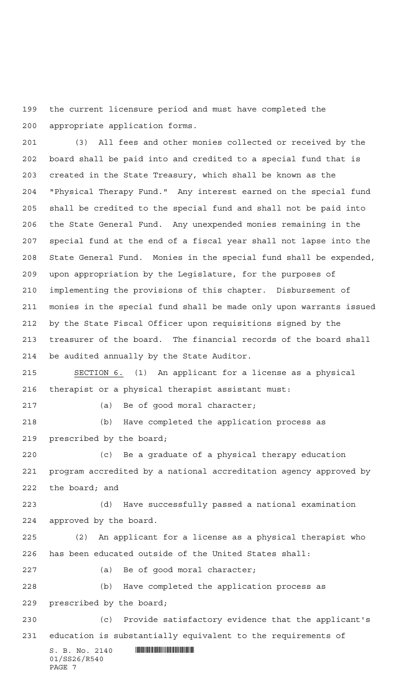the current licensure period and must have completed the appropriate application forms.

 (3) All fees and other monies collected or received by the board shall be paid into and credited to a special fund that is created in the State Treasury, which shall be known as the "Physical Therapy Fund." Any interest earned on the special fund shall be credited to the special fund and shall not be paid into the State General Fund. Any unexpended monies remaining in the special fund at the end of a fiscal year shall not lapse into the State General Fund. Monies in the special fund shall be expended, upon appropriation by the Legislature, for the purposes of implementing the provisions of this chapter. Disbursement of monies in the special fund shall be made only upon warrants issued by the State Fiscal Officer upon requisitions signed by the treasurer of the board. The financial records of the board shall be audited annually by the State Auditor.

 SECTION 6. (1) An applicant for a license as a physical therapist or a physical therapist assistant must:

(a) Be of good moral character;

 (b) Have completed the application process as prescribed by the board;

 (c) Be a graduate of a physical therapy education program accredited by a national accreditation agency approved by the board; and

 (d) Have successfully passed a national examination approved by the board.

 (2) An applicant for a license as a physical therapist who has been educated outside of the United States shall:

(a) Be of good moral character;

 (b) Have completed the application process as prescribed by the board;

 (c) Provide satisfactory evidence that the applicant's education is substantially equivalent to the requirements of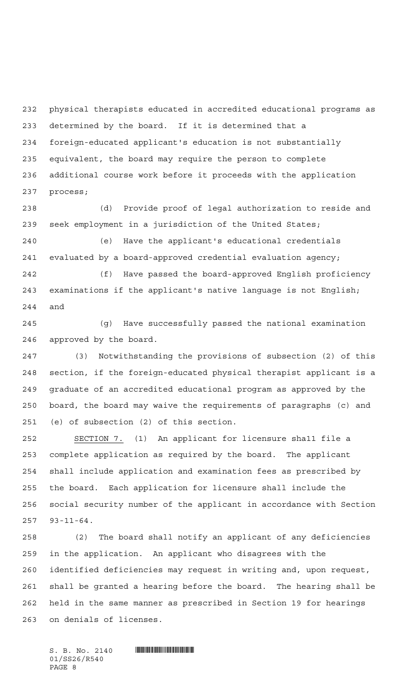physical therapists educated in accredited educational programs as determined by the board. If it is determined that a foreign-educated applicant's education is not substantially equivalent, the board may require the person to complete additional course work before it proceeds with the application process;

 (d) Provide proof of legal authorization to reside and seek employment in a jurisdiction of the United States;

 (e) Have the applicant's educational credentials evaluated by a board-approved credential evaluation agency;

 (f) Have passed the board-approved English proficiency examinations if the applicant's native language is not English; and

 (g) Have successfully passed the national examination approved by the board.

 (3) Notwithstanding the provisions of subsection (2) of this section, if the foreign-educated physical therapist applicant is a graduate of an accredited educational program as approved by the board, the board may waive the requirements of paragraphs (c) and (e) of subsection (2) of this section.

 SECTION 7. (1) An applicant for licensure sha11 file a complete application as required by the board. The applicant shall include application and examination fees as prescribed by the board. Each application for licensure shall include the social security number of the applicant in accordance with Section 93-11-64.

 (2) The board shall notify an applicant of any deficiencies in the application. An applicant who disagrees with the identified deficiencies may request in writing and, upon request, shall be granted a hearing before the board. The hearing shall be held in the same manner as prescribed in Section 19 for hearings on denials of licenses.

 $S. B. No. 2140$  . SIMILLE AND A LIMITED AND A LIMIT AND RESPONDENT A LIMIT AND RESPONDENT A LIMIT AND RESPONDENT A LIMIT AND RESPONDENT A LIMIT AND RESPONDENT A LIMIT AND RESPONDENT A LIMIT AND RESPONDENT A LIMIT AND RESPON 01/SS26/R540 PAGE 8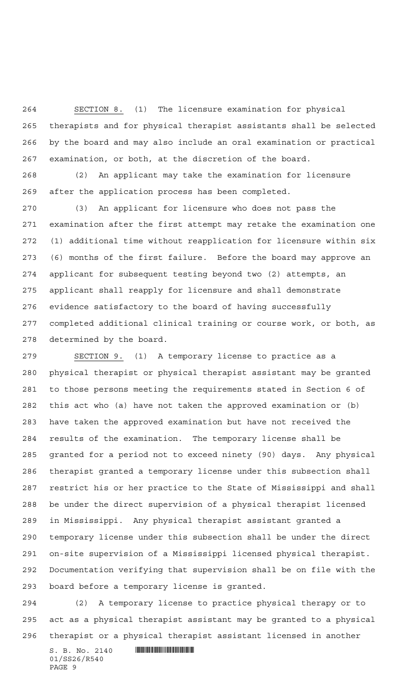SECTION 8. (1) The licensure examination for physical therapists and for physical therapist assistants shall be selected by the board and may also include an oral examination or practical examination, or both, at the discretion of the board.

 (2) An applicant may take the examination for licensure after the application process has been completed.

 (3) An applicant for licensure who does not pass the examination after the first attempt may retake the examination one (1) additional time without reapplication for licensure within six (6) months of the first failure. Before the board may approve an applicant for subsequent testing beyond two (2) attempts, an applicant shall reapply for licensure and shall demonstrate evidence satisfactory to the board of having successfully completed additional clinical training or course work, or both, as determined by the board.

 SECTION 9. (1) A temporary license to practice as a physical therapist or physical therapist assistant may be granted to those persons meeting the requirements stated in Section 6 of this act who (a) have not taken the approved examination or (b) have taken the approved examination but have not received the results of the examination. The temporary license shall be granted for a period not to exceed ninety (90) days. Any physical therapist granted a temporary license under this subsection shall restrict his or her practice to the State of Mississippi and shall be under the direct supervision of a physical therapist licensed in Mississippi. Any physical therapist assistant granted a temporary license under this subsection shall be under the direct on-site supervision of a Mississippi licensed physical therapist. Documentation verifying that supervision shall be on file with the board before a temporary license is granted.

 (2) A temporary license to practice physical therapy or to act as a physical therapist assistant may be granted to a physical therapist or a physical therapist assistant licensed in another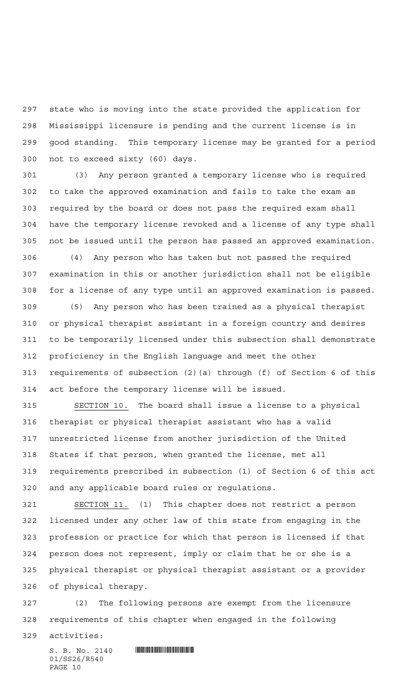state who is moving into the state provided the application for Mississippi licensure is pending and the current license is in good standing. This temporary license may be granted for a period not to exceed sixty (60) days.

 (3) Any person granted a temporary license who is required to take the approved examination and fails to take the exam as required by the board or does not pass the required exam shall have the temporary license revoked and a license of any type shall not be issued until the person has passed an approved examination. (4) Any person who has taken but not passed the required

 examination in this or another jurisdiction shall not be eligible for a license of any type until an approved examination is passed.

 (5) Any person who has been trained as a physical therapist or physical therapist assistant in a foreign country and desires to be temporarily licensed under this subsection shall demonstrate proficiency in the English language and meet the other requirements of subsection (2)(a) through (f) of Section 6 of this act before the temporary license will be issued.

 SECTION 10. The board shall issue a license to a physical therapist or physical therapist assistant who has a valid unrestricted license from another jurisdiction of the United States if that person, when granted the license, met all requirements prescribed in subsection (1) of Section 6 of this act and any applicable board rules or regulations.

 SECTION 11. (1) This chapter does not restrict a person licensed under any other law of this state from engaging in the profession or practice for which that person is licensed if that person does not represent, imply or claim that he or she is a physical therapist or physical therapist assistant or a provider of physical therapy.

 (2) The following persons are exempt from the licensure requirements of this chapter when engaged in the following

activities: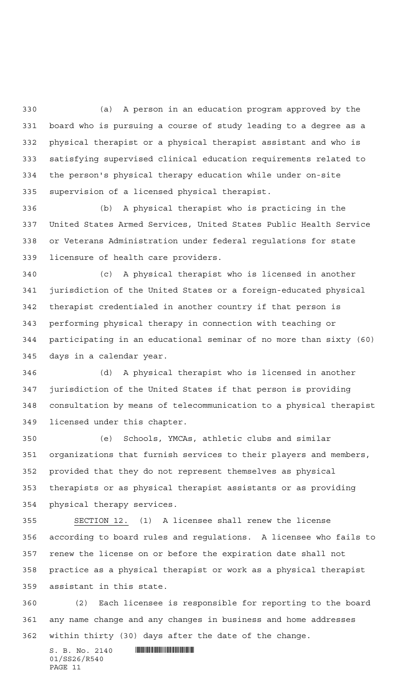(a) A person in an education program approved by the board who is pursuing a course of study leading to a degree as a physical therapist or a physical therapist assistant and who is satisfying supervised clinical education requirements related to the person's physical therapy education while under on-site supervision of a licensed physical therapist.

 (b) A physical therapist who is practicing in the United States Armed Services, United States Public Health Service or Veterans Administration under federal regulations for state licensure of health care providers.

 (c) A physical therapist who is licensed in another jurisdiction of the United States or a foreign-educated physical therapist credentialed in another country if that person is performing physical therapy in connection with teaching or participating in an educational seminar of no more than sixty (60) days in a calendar year.

 (d) A physical therapist who is licensed in another jurisdiction of the United States if that person is providing consultation by means of telecommunication to a physical therapist licensed under this chapter.

 (e) Schools, YMCAs, athletic clubs and similar organizations that furnish services to their players and members, provided that they do not represent themselves as physical therapists or as physical therapist assistants or as providing physical therapy services.

 SECTION 12. (1) A licensee shall renew the license according to board rules and regulations. A licensee who fails to renew the license on or before the expiration date shall not practice as a physical therapist or work as a physical therapist assistant in this state.

 (2) Each licensee is responsible for reporting to the board any name change and any changes in business and home addresses within thirty (30) days after the date of the change.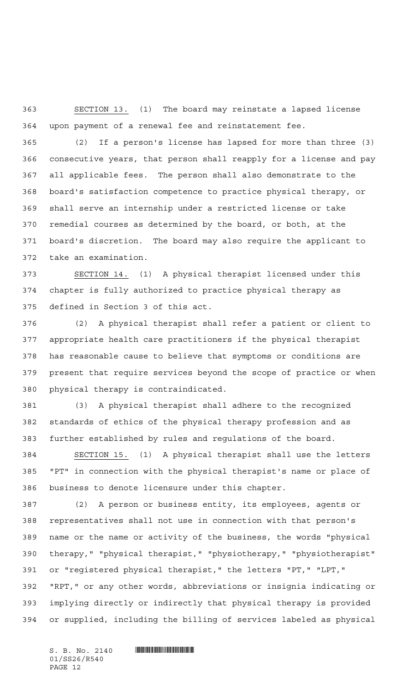SECTION 13. (1) The board may reinstate a lapsed license upon payment of a renewal fee and reinstatement fee.

 (2) If a person's license has lapsed for more than three (3) consecutive years, that person shall reapply for a license and pay all applicable fees. The person shall also demonstrate to the board's satisfaction competence to practice physical therapy, or shall serve an internship under a restricted license or take remedial courses as determined by the board, or both, at the board's discretion. The board may also require the applicant to take an examination.

 SECTION 14. (1) A physical therapist licensed under this chapter is fully authorized to practice physical therapy as defined in Section 3 of this act.

 (2) A physical therapist shall refer a patient or client to appropriate health care practitioners if the physical therapist has reasonable cause to believe that symptoms or conditions are present that require services beyond the scope of practice or when physical therapy is contraindicated.

 (3) A physical therapist shall adhere to the recognized standards of ethics of the physical therapy profession and as further established by rules and regulations of the board.

 SECTION 15. (1) A physical therapist shall use the letters "PT" in connection with the physical therapist's name or place of business to denote licensure under this chapter.

 (2) A person or business entity, its employees, agents or representatives shall not use in connection with that person's name or the name or activity of the business, the words "physical therapy," "physical therapist," "physiotherapy," "physiotherapist" or "registered physical therapist," the letters "PT," "LPT," "RPT," or any other words, abbreviations or insignia indicating or implying directly or indirectly that physical therapy is provided or supplied, including the billing of services labeled as physical

01/SS26/R540 PAGE 12

 $S.$  B. No. 2140  $\blacksquare$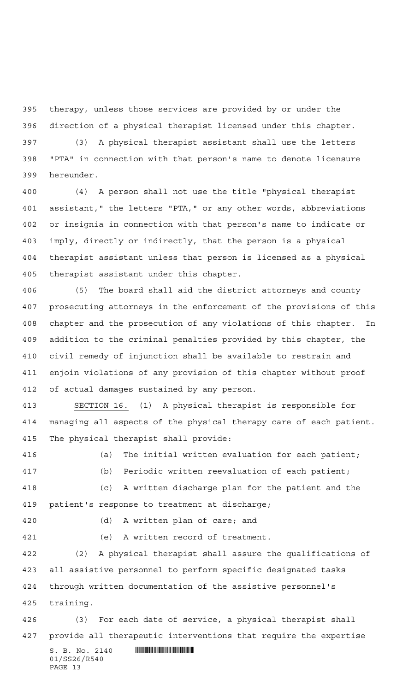therapy, unless those services are provided by or under the direction of a physical therapist licensed under this chapter.

 (3) A physical therapist assistant shall use the letters "PTA" in connection with that person's name to denote licensure hereunder.

 (4) A person shall not use the title "physical therapist assistant," the letters "PTA," or any other words, abbreviations or insignia in connection with that person's name to indicate or imply, directly or indirectly, that the person is a physical therapist assistant unless that person is licensed as a physical therapist assistant under this chapter.

 (5) The board shall aid the district attorneys and county prosecuting attorneys in the enforcement of the provisions of this chapter and the prosecution of any violations of this chapter. In addition to the criminal penalties provided by this chapter, the civil remedy of injunction shall be available to restrain and enjoin violations of any provision of this chapter without proof of actual damages sustained by any person.

 SECTION 16. (1) A physical therapist is responsible for managing all aspects of the physical therapy care of each patient. The physical therapist shall provide:

 (a) The initial written evaluation for each patient; (b) Periodic written reevaluation of each patient; (c) A written discharge plan for the patient and the patient's response to treatment at discharge;

(d) A written plan of care; and

(e) A written record of treatment.

 (2) A physical therapist shall assure the qualifications of all assistive personnel to perform specific designated tasks through written documentation of the assistive personnel's training.

 (3) For each date of service, a physical therapist shall provide all therapeutic interventions that require the expertise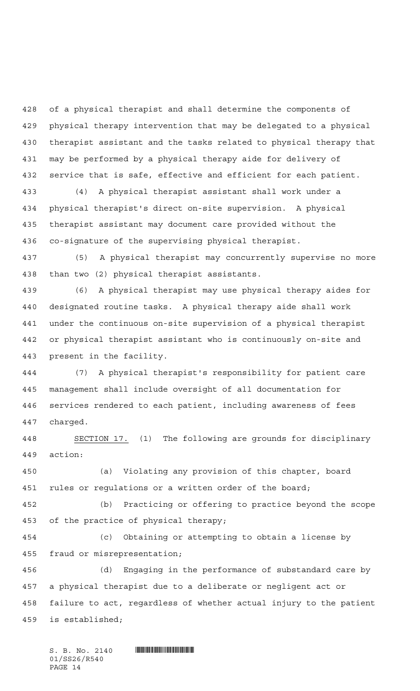of a physical therapist and shall determine the components of physical therapy intervention that may be delegated to a physical therapist assistant and the tasks related to physical therapy that may be performed by a physical therapy aide for delivery of service that is safe, effective and efficient for each patient.

 (4) A physical therapist assistant shall work under a physical therapist's direct on-site supervision. A physical therapist assistant may document care provided without the co-signature of the supervising physical therapist.

 (5) A physical therapist may concurrently supervise no more than two (2) physical therapist assistants.

 (6) A physical therapist may use physical therapy aides for designated routine tasks. A physical therapy aide shall work under the continuous on-site supervision of a physical therapist or physical therapist assistant who is continuously on-site and present in the facility.

 (7) A physical therapist's responsibility for patient care management shall include oversight of all documentation for services rendered to each patient, including awareness of fees charged.

 SECTION 17. (1) The following are grounds for disciplinary action:

 (a) Violating any provision of this chapter, board 451 rules or regulations or a written order of the board;

 (b) Practicing or offering to practice beyond the scope of the practice of physical therapy;

 (c) Obtaining or attempting to obtain a license by fraud or misrepresentation;

 (d) Engaging in the performance of substandard care by a physical therapist due to a deliberate or negligent act or failure to act, regardless of whether actual injury to the patient is established;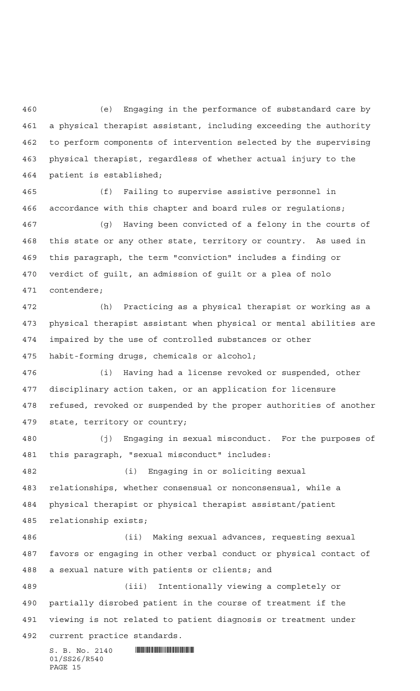(e) Engaging in the performance of substandard care by a physical therapist assistant, including exceeding the authority to perform components of intervention selected by the supervising physical therapist, regardless of whether actual injury to the patient is established;

 (f) Failing to supervise assistive personnel in accordance with this chapter and board rules or regulations;

 (g) Having been convicted of a felony in the courts of this state or any other state, territory or country. As used in this paragraph, the term "conviction" includes a finding or verdict of guilt, an admission of guilt or a plea of nolo contendere;

 (h) Practicing as a physical therapist or working as a physical therapist assistant when physical or mental abilities are impaired by the use of controlled substances or other habit-forming drugs, chemicals or alcohol;

 (i) Having had a license revoked or suspended, other disciplinary action taken, or an application for licensure refused, revoked or suspended by the proper authorities of another state, territory or country;

 (j) Engaging in sexual misconduct. For the purposes of this paragraph, "sexual misconduct" includes:

 (i) Engaging in or soliciting sexual relationships, whether consensual or nonconsensual, while a physical therapist or physical therapist assistant/patient relationship exists;

 (ii) Making sexual advances, requesting sexual favors or engaging in other verbal conduct or physical contact of a sexual nature with patients or clients; and

 (iii) Intentionally viewing a completely or partially disrobed patient in the course of treatment if the viewing is not related to patient diagnosis or treatment under current practice standards.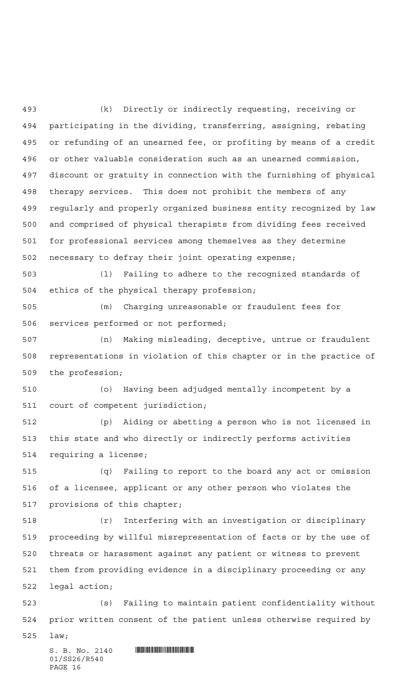(k) Directly or indirectly requesting, receiving or participating in the dividing, transferring, assigning, rebating or refunding of an unearned fee, or profiting by means of a credit or other valuable consideration such as an unearned commission, discount or gratuity in connection with the furnishing of physical therapy services. This does not prohibit the members of any regularly and properly organized business entity recognized by law and comprised of physical therapists from dividing fees received for professional services among themselves as they determine necessary to defray their joint operating expense;

 (l) Failing to adhere to the recognized standards of ethics of the physical therapy profession;

 (m) Charging unreasonable or fraudulent fees for services performed or not performed;

 (n) Making misleading, deceptive, untrue or fraudulent representations in violation of this chapter or in the practice of the profession;

 (o) Having been adjudged mentally incompetent by a court of competent jurisdiction;

 (p) Aiding or abetting a person who is not licensed in this state and who directly or indirectly performs activities requiring a license;

 (q) Failing to report to the board any act or omission of a licensee, applicant or any other person who violates the provisions of this chapter;

 (r) Interfering with an investigation or disciplinary proceeding by willful misrepresentation of facts or by the use of threats or harassment against any patient or witness to prevent them from providing evidence in a disciplinary proceeding or any legal action;

 (s) Failing to maintain patient confidentiality without prior written consent of the patient unless otherwise required by

law;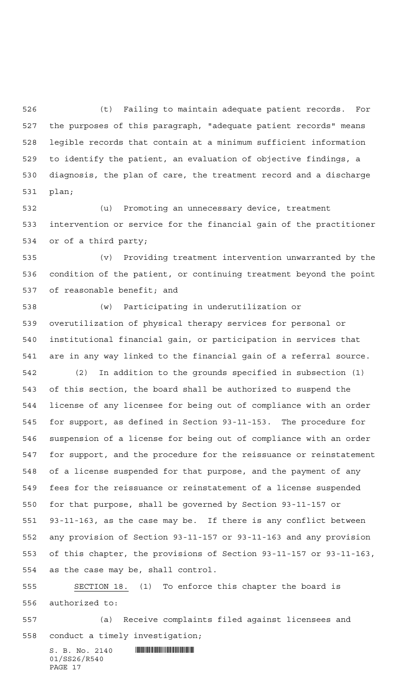(t) Failing to maintain adequate patient records. For the purposes of this paragraph, "adequate patient records" means legible records that contain at a minimum sufficient information to identify the patient, an evaluation of objective findings, a diagnosis, the plan of care, the treatment record and a discharge plan;

 (u) Promoting an unnecessary device, treatment intervention or service for the financial gain of the practitioner or of a third party;

 (v) Providing treatment intervention unwarranted by the condition of the patient, or continuing treatment beyond the point of reasonable benefit; and

 (w) Participating in underutilization or overutilization of physical therapy services for personal or institutional financial gain, or participation in services that are in any way linked to the financial gain of a referral source.

 (2) In addition to the grounds specified in subsection (1) of this section, the board shall be authorized to suspend the license of any licensee for being out of compliance with an order for support, as defined in Section 93-11-153. The procedure for suspension of a license for being out of compliance with an order for support, and the procedure for the reissuance or reinstatement of a license suspended for that purpose, and the payment of any fees for the reissuance or reinstatement of a license suspended for that purpose, shall be governed by Section 93-11-157 or 93-11-163, as the case may be. If there is any conflict between any provision of Section 93-11-157 or 93-11-163 and any provision of this chapter, the provisions of Section 93-11-157 or 93-11-163, as the case may be, shall control.

 SECTION 18. (1) To enforce this chapter the board is authorized to:

 (a) Receive complaints filed against licensees and conduct a timely investigation;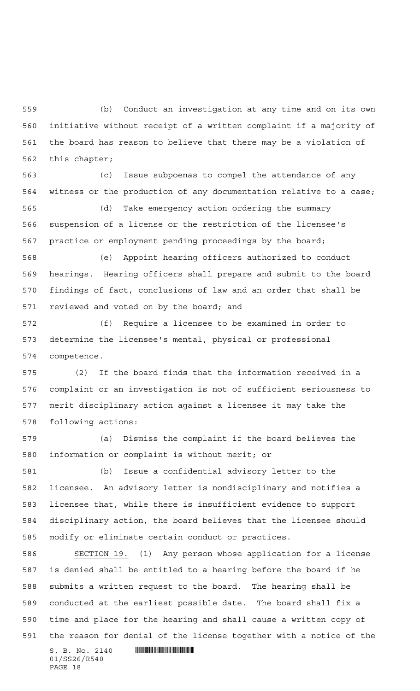(b) Conduct an investigation at any time and on its own initiative without receipt of a written complaint if a majority of the board has reason to believe that there may be a violation of this chapter;

 (c) Issue subpoenas to compel the attendance of any witness or the production of any documentation relative to a case;

 (d) Take emergency action ordering the summary suspension of a license or the restriction of the licensee's practice or employment pending proceedings by the board;

 (e) Appoint hearing officers authorized to conduct hearings. Hearing officers shall prepare and submit to the board findings of fact, conclusions of law and an order that shall be reviewed and voted on by the board; and

 (f) Require a licensee to be examined in order to determine the licensee's mental, physical or professional competence.

 (2) If the board finds that the information received in a complaint or an investigation is not of sufficient seriousness to merit disciplinary action against a licensee it may take the following actions:

 (a) Dismiss the complaint if the board believes the information or complaint is without merit; or

 (b) Issue a confidential advisory letter to the licensee. An advisory letter is nondisciplinary and notifies a licensee that, while there is insufficient evidence to support disciplinary action, the board believes that the licensee should modify or eliminate certain conduct or practices.

 SECTION 19. (1) Any person whose application for a license is denied shall be entitled to a hearing before the board if he submits a written request to the board. The hearing shall be conducted at the earliest possible date. The board shall fix a time and place for the hearing and shall cause a written copy of the reason for denial of the license together with a notice of the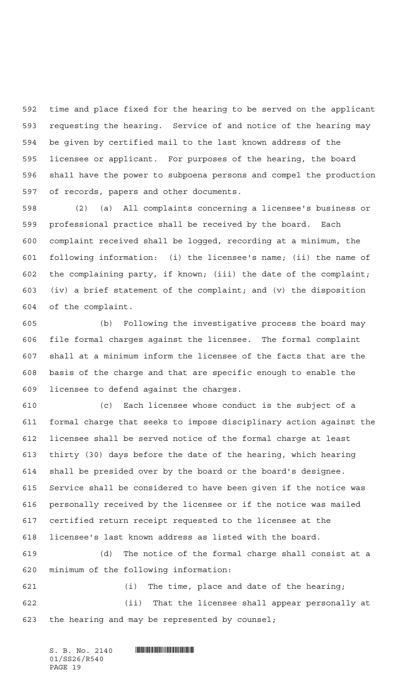time and place fixed for the hearing to be served on the applicant requesting the hearing. Service of and notice of the hearing may be given by certified mail to the last known address of the licensee or applicant. For purposes of the hearing, the board sha11 have the power to subpoena persons and compel the production of records, papers and other documents.

 (2) (a) All complaints concerning a licensee's business or professional practice shall be received by the board. Each complaint received shall be logged, recording at a minimum, the following information: (i) the licensee's name; (ii) the name of the complaining party, if known; (iii) the date of the complaint; (iv) a brief statement of the complaint; and (v) the disposition of the complaint.

 (b) Following the investigative process the board may file formal charges against the licensee. The formal complaint shall at a minimum inform the licensee of the facts that are the basis of the charge and that are specific enough to enable the licensee to defend against the charges.

 (c) Each licensee whose conduct is the subject of a formal charge that seeks to impose disciplinary action against the licensee shall be served notice of the formal charge at least thirty (30) days before the date of the hearing, which hearing shall be presided over by the board or the board's designee. Service shall be considered to have been given if the notice was personally received by the licensee or if the notice was mailed certified return receipt requested to the licensee at the licensee's last known address as listed with the board.

 (d) The notice of the formal charge shall consist at a minimum of the following information:

 (i) The time, place and date of the hearing; (ii) That the licensee shall appear personally at the hearing and may be represented by counsel;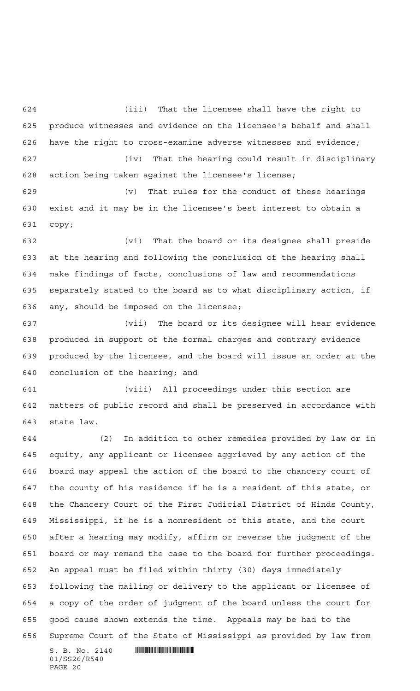(iii) That the licensee shall have the right to produce witnesses and evidence on the licensee's behalf and shall have the right to cross-examine adverse witnesses and evidence; (iv) That the hearing could result in disciplinary action being taken against the licensee's license;

 (v) That rules for the conduct of these hearings exist and it may be in the licensee's best interest to obtain a copy;

 (vi) That the board or its designee shall preside at the hearing and following the conclusion of the hearing shall make findings of facts, conclusions of law and recommendations separately stated to the board as to what disciplinary action, if any, should be imposed on the licensee;

 (vii) The board or its designee will hear evidence produced in support of the formal charges and contrary evidence produced by the licensee, and the board will issue an order at the conclusion of the hearing; and

 (viii) All proceedings under this section are matters of public record and shall be preserved in accordance with state law.

 $S. B. No. 2140$  .  $\blacksquare$  (2) In addition to other remedies provided by law or in equity, any applicant or licensee aggrieved by any action of the board may appeal the action of the board to the chancery court of the county of his residence if he is a resident of this state, or the Chancery Court of the First Judicial District of Hinds County, Mississippi, if he is a nonresident of this state, and the court after a hearing may modify, affirm or reverse the judgment of the board or may remand the case to the board for further proceedings. An appeal must be filed within thirty (30) days immediately following the mailing or delivery to the applicant or licensee of a copy of the order of judgment of the board unless the court for good cause shown extends the time. Appeals may be had to the Supreme Court of the State of Mississippi as provided by law from

01/SS26/R540 PAGE 20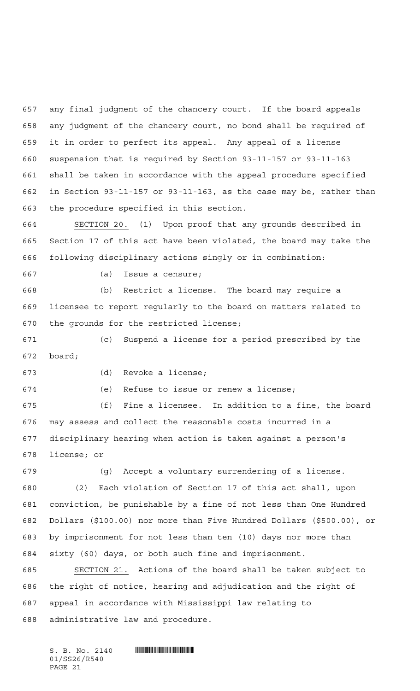any final judgment of the chancery court. If the board appeals any judgment of the chancery court, no bond shall be required of it in order to perfect its appeal. Any appeal of a license suspension that is required by Section 93-11-157 or 93-11-163 shall be taken in accordance with the appeal procedure specified in Section 93-11-157 or 93-11-163, as the case may be, rather than the procedure specified in this section.

 SECTION 20. (1) Upon proof that any grounds described in Section 17 of this act have been violated, the board may take the following disciplinary actions singly or in combination:

(a) Issue a censure;

 (b) Restrict a license. The board may require a licensee to report regularly to the board on matters related to the grounds for the restricted license;

 (c) Suspend a license for a period prescribed by the board;

(d) Revoke a license;

(e) Refuse to issue or renew a license;

 (f) Fine a licensee. In addition to a fine, the board may assess and collect the reasonable costs incurred in a disciplinary hearing when action is taken against a person's license; or

 (g) Accept a voluntary surrendering of a license. (2) Each violation of Section 17 of this act shall, upon conviction, be punishable by a fine of not less than One Hundred Dollars (\$100.00) nor more than Five Hundred Dollars (\$500.00), or by imprisonment for not less than ten (10) days nor more than sixty (60) days, or both such fine and imprisonment.

 SECTION 21. Actions of the board shall be taken subject to the right of notice, hearing and adjudication and the right of appeal in accordance with Mississippi law relating to administrative law and procedure.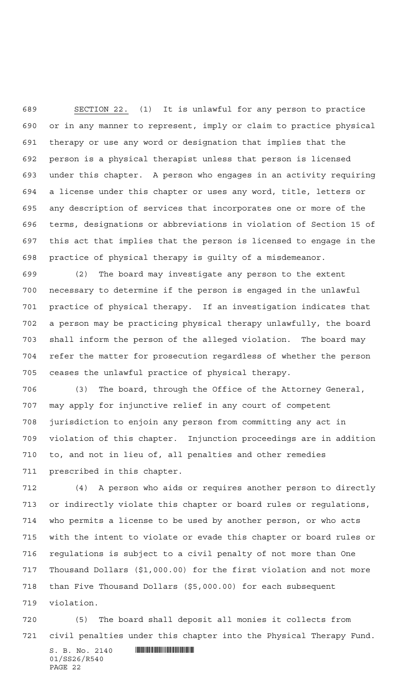SECTION 22. (1) It is unlawful for any person to practice or in any manner to represent, imply or claim to practice physical therapy or use any word or designation that implies that the person is a physical therapist unless that person is licensed under this chapter. A person who engages in an activity requiring a license under this chapter or uses any word, title, letters or any description of services that incorporates one or more of the terms, designations or abbreviations in violation of Section 15 of this act that implies that the person is licensed to engage in the practice of physical therapy is guilty of a misdemeanor.

 (2) The board may investigate any person to the extent necessary to determine if the person is engaged in the unlawful practice of physical therapy. If an investigation indicates that a person may be practicing physical therapy unlawfully, the board shall inform the person of the alleged violation. The board may refer the matter for prosecution regardless of whether the person ceases the unlawful practice of physical therapy.

 (3) The board, through the Office of the Attorney General, may apply for injunctive relief in any court of competent jurisdiction to enjoin any person from committing any act in violation of this chapter. Injunction proceedings are in addition to, and not in lieu of, all penalties and other remedies prescribed in this chapter.

 (4) A person who aids or requires another person to directly or indirectly violate this chapter or board rules or regulations, who permits a license to be used by another person, or who acts with the intent to violate or evade this chapter or board rules or regulations is subject to a civil penalty of not more than One Thousand Dollars (\$1,000.00) for the first violation and not more than Five Thousand Dollars (\$5,000.00) for each subsequent violation.

 (5) The board shall deposit all monies it collects from civil penalties under this chapter into the Physical Therapy Fund.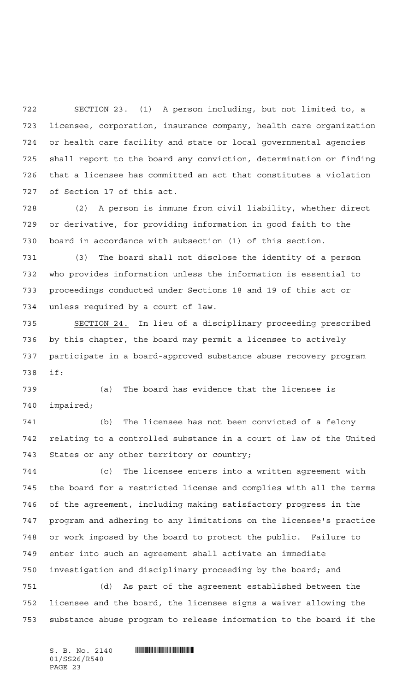SECTION 23. (1) A person including, but not limited to, a licensee, corporation, insurance company, health care organization or health care facility and state or local governmental agencies shall report to the board any conviction, determination or finding that a licensee has committed an act that constitutes a violation of Section 17 of this act.

 (2) A person is immune from civil liability, whether direct or derivative, for providing information in good faith to the board in accordance with subsection (1) of this section.

 (3) The board shall not disclose the identity of a person who provides information unless the information is essential to proceedings conducted under Sections 18 and 19 of this act or unless required by a court of law.

 SECTION 24. In lieu of a disciplinary proceeding prescribed by this chapter, the board may permit a licensee to actively participate in a board-approved substance abuse recovery program if:

 (a) The board has evidence that the licensee is impaired;

 (b) The licensee has not been convicted of a felony relating to a controlled substance in a court of law of the United States or any other territory or country;

 (c) The licensee enters into a written agreement with the board for a restricted license and complies with all the terms of the agreement, including making satisfactory progress in the program and adhering to any limitations on the licensee's practice or work imposed by the board to protect the public. Failure to enter into such an agreement shall activate an immediate investigation and disciplinary proceeding by the board; and

 (d) As part of the agreement established between the licensee and the board, the licensee signs a waiver allowing the substance abuse program to release information to the board if the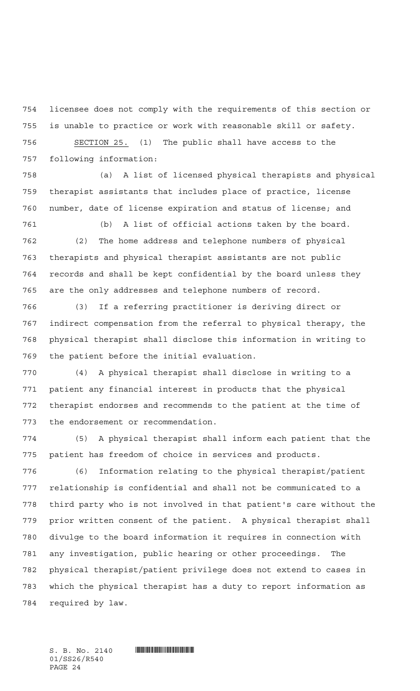licensee does not comply with the requirements of this section or is unable to practice or work with reasonable skill or safety. SECTION 25. (1) The public shall have access to the

following information:

 (a) A list of licensed physical therapists and physical therapist assistants that includes place of practice, license number, date of license expiration and status of license; and

 (b) A list of official actions taken by the board. (2) The home address and telephone numbers of physical therapists and physical therapist assistants are not public records and shall be kept confidential by the board unless they are the only addresses and telephone numbers of record.

 (3) If a referring practitioner is deriving direct or indirect compensation from the referral to physical therapy, the physical therapist shall disclose this information in writing to the patient before the initial evaluation.

 (4) A physical therapist shall disclose in writing to a patient any financial interest in products that the physical therapist endorses and recommends to the patient at the time of the endorsement or recommendation.

 (5) A physical therapist shall inform each patient that the patient has freedom of choice in services and products.

 (6) Information relating to the physical therapist/patient relationship is confidential and shall not be communicated to a third party who is not involved in that patient's care without the prior written consent of the patient. A physical therapist shall divulge to the board information it requires in connection with any investigation, public hearing or other proceedings. The physical therapist/patient privilege does not extend to cases in which the physical therapist has a duty to report information as required by law.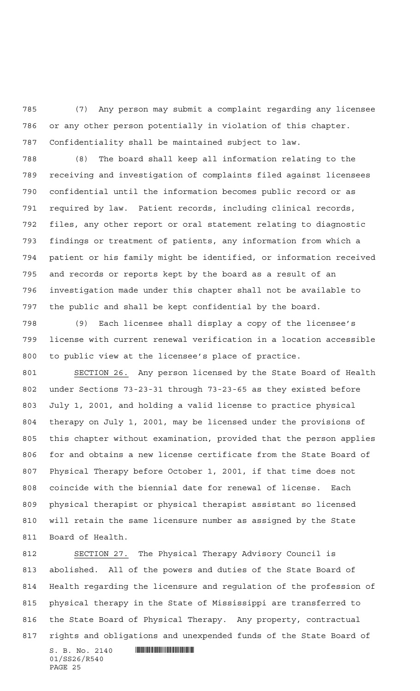(7) Any person may submit a complaint regarding any licensee or any other person potentially in violation of this chapter. Confidentiality shall be maintained subject to law.

 (8) The board shall keep all information relating to the receiving and investigation of complaints filed against licensees confidential until the information becomes public record or as required by law. Patient records, including clinical records, files, any other report or oral statement relating to diagnostic findings or treatment of patients, any information from which a patient or his family might be identified, or information received and records or reports kept by the board as a result of an investigation made under this chapter shall not be available to the public and shall be kept confidential by the board.

 (9) Each licensee shall display a copy of the licensee's license with current renewal verification in a location accessible to public view at the licensee's place of practice.

801 SECTION 26. Any person licensed by the State Board of Health under Sections 73-23-31 through 73-23-65 as they existed before July 1, 2001, and holding a valid license to practice physical therapy on July 1, 2001, may be licensed under the provisions of this chapter without examination, provided that the person applies for and obtains a new license certificate from the State Board of Physical Therapy before October 1, 2001, if that time does not coincide with the biennial date for renewal of license. Each physical therapist or physical therapist assistant so licensed will retain the same licensure number as assigned by the State Board of Health.

 SECTION 27. The Physical Therapy Advisory Council is abolished. All of the powers and duties of the State Board of Health regarding the licensure and regulation of the profession of physical therapy in the State of Mississippi are transferred to the State Board of Physical Therapy. Any property, contractual rights and obligations and unexpended funds of the State Board of